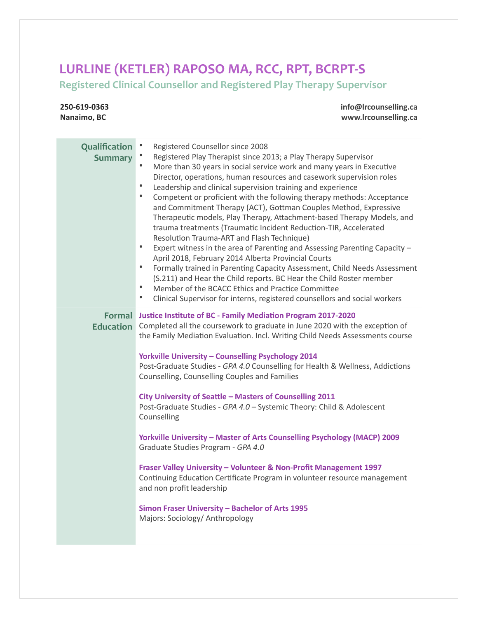## LURLINE (KETLER) RAPOSO MA, RCC, RPT, BCRPT-S

**250-619-0363**

**Registered Clinical Counsellor and Registered Play Therapy Supervisor**

**info@lrcounselling.ca**

| Nanaimo, BC                     | www.lrcounselling.ca                                                                                                                                                                                                                                                                                                                                                                                                                                                                                                                                                                                                                                                                                                                                                                                                                                                                                                                                                                                                                                                                                                                                                                 |
|---------------------------------|--------------------------------------------------------------------------------------------------------------------------------------------------------------------------------------------------------------------------------------------------------------------------------------------------------------------------------------------------------------------------------------------------------------------------------------------------------------------------------------------------------------------------------------------------------------------------------------------------------------------------------------------------------------------------------------------------------------------------------------------------------------------------------------------------------------------------------------------------------------------------------------------------------------------------------------------------------------------------------------------------------------------------------------------------------------------------------------------------------------------------------------------------------------------------------------|
| Qualification<br><b>Summary</b> | Registered Counsellor since 2008<br>Registered Play Therapist since 2013; a Play Therapy Supervisor<br>$\bullet$<br>More than 30 years in social service work and many years in Executive<br>Director, operations, human resources and casework supervision roles<br>$\bullet$<br>Leadership and clinical supervision training and experience<br>$\bullet$<br>Competent or proficient with the following therapy methods: Acceptance<br>and Commitment Therapy (ACT), Gottman Couples Method, Expressive<br>Therapeutic models, Play Therapy, Attachment-based Therapy Models, and<br>trauma treatments (Traumatic Incident Reduction-TIR, Accelerated<br>Resolution Trauma-ART and Flash Technique)<br>$\bullet$<br>Expert witness in the area of Parenting and Assessing Parenting Capacity -<br>April 2018, February 2014 Alberta Provincial Courts<br>$\bullet$<br>Formally trained in Parenting Capacity Assessment, Child Needs Assessment<br>(S.211) and Hear the Child reports. BC Hear the Child Roster member<br>$\bullet$<br>Member of the BCACC Ethics and Practice Committee<br>$\bullet$<br>Clinical Supervisor for interns, registered counsellors and social workers |
| <b>Education</b>                | Formal Justice Institute of BC - Family Mediation Program 2017-2020<br>Completed all the coursework to graduate in June 2020 with the exception of<br>the Family Mediation Evaluation. Incl. Writing Child Needs Assessments course<br><b>Yorkville University - Counselling Psychology 2014</b><br>Post-Graduate Studies - GPA 4.0 Counselling for Health & Wellness, Addictions<br>Counselling, Counselling Couples and Families<br>City University of Seattle - Masters of Counselling 2011<br>Post-Graduate Studies - GPA 4.0 - Systemic Theory: Child & Adolescent<br>Counselling<br>Yorkville University - Master of Arts Counselling Psychology (MACP) 2009<br>Graduate Studies Program - GPA 4.0<br>Fraser Valley University - Volunteer & Non-Profit Management 1997<br>Continuing Education Certificate Program in volunteer resource management<br>and non profit leadership<br>Simon Fraser University - Bachelor of Arts 1995<br>Majors: Sociology/ Anthropology                                                                                                                                                                                                        |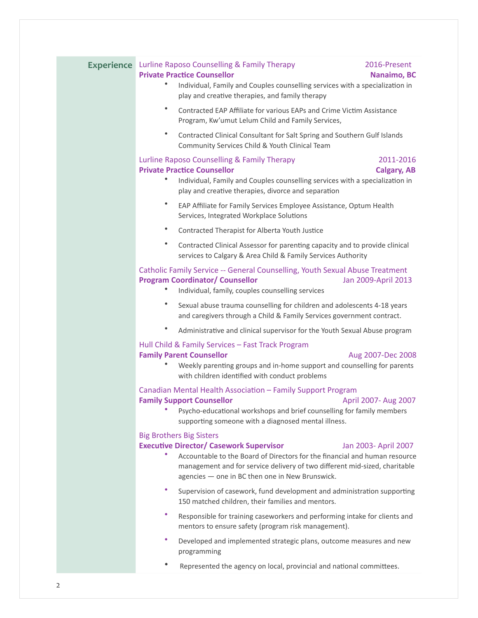|  | <b>Experience</b> Lurline Raposo Counselling & Family Therapy<br>2016-Present<br><b>Private Practice Counsellor</b><br>Nanaimo, BC<br>Individual, Family and Couples counselling services with a specialization in<br>play and creative therapies, and family therapy                                                    |
|--|--------------------------------------------------------------------------------------------------------------------------------------------------------------------------------------------------------------------------------------------------------------------------------------------------------------------------|
|  | $\bullet$<br>Contracted EAP Affiliate for various EAPs and Crime Victim Assistance<br>Program, Kw'umut Lelum Child and Family Services,                                                                                                                                                                                  |
|  | ٠<br>Contracted Clinical Consultant for Salt Spring and Southern Gulf Islands<br>Community Services Child & Youth Clinical Team                                                                                                                                                                                          |
|  | Lurline Raposo Counselling & Family Therapy<br>2011-2016<br><b>Private Practice Counsellor</b><br><b>Calgary, AB</b><br>Individual, Family and Couples counselling services with a specialization in<br>play and creative therapies, divorce and separation                                                              |
|  | ٠<br>EAP Affiliate for Family Services Employee Assistance, Optum Health<br>Services, Integrated Workplace Solutions                                                                                                                                                                                                     |
|  | $\bullet$<br>Contracted Therapist for Alberta Youth Justice                                                                                                                                                                                                                                                              |
|  | ٠<br>Contracted Clinical Assessor for parenting capacity and to provide clinical<br>services to Calgary & Area Child & Family Services Authority                                                                                                                                                                         |
|  | Catholic Family Service -- General Counselling, Youth Sexual Abuse Treatment<br><b>Program Coordinator/ Counsellor</b><br>Jan 2009-April 2013<br>Individual, family, couples counselling services                                                                                                                        |
|  | ٠<br>Sexual abuse trauma counselling for children and adolescents 4-18 years<br>and caregivers through a Child & Family Services government contract.                                                                                                                                                                    |
|  | Administrative and clinical supervisor for the Youth Sexual Abuse program                                                                                                                                                                                                                                                |
|  | Hull Child & Family Services - Fast Track Program<br><b>Family Parent Counsellor</b><br>Aug 2007-Dec 2008<br>Weekly parenting groups and in-home support and counselling for parents<br>with children identified with conduct problems                                                                                   |
|  | Canadian Mental Health Association - Family Support Program<br><b>Family Support Counsellor</b><br>April 2007- Aug 2007<br>Psycho-educational workshops and brief counselling for family members<br>supporting someone with a diagnosed mental illness.                                                                  |
|  | <b>Big Brothers Big Sisters</b><br><b>Executive Director/ Casework Supervisor</b><br>Jan 2003- April 2007<br>Accountable to the Board of Directors for the financial and human resource<br>management and for service delivery of two different mid-sized, charitable<br>agencies - one in BC then one in New Brunswick. |
|  | ٠<br>Supervision of casework, fund development and administration supporting<br>150 matched children, their families and mentors.                                                                                                                                                                                        |
|  | ۰<br>Responsible for training caseworkers and performing intake for clients and<br>mentors to ensure safety (program risk management).                                                                                                                                                                                   |
|  | ٠<br>Developed and implemented strategic plans, outcome measures and new<br>programming                                                                                                                                                                                                                                  |

• Represented the agency on local, provincial and national committees.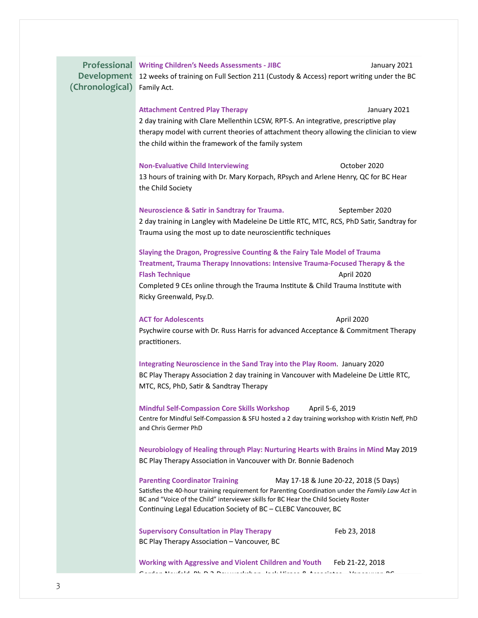| <b>Development</b><br>(Chronological) | Professional Writing Children's Needs Assessments - JIBC<br>January 2021<br>12 weeks of training on Full Section 211 (Custody & Access) report writing under the BC<br>Family Act.                                                                                                                                                           |  |  |
|---------------------------------------|----------------------------------------------------------------------------------------------------------------------------------------------------------------------------------------------------------------------------------------------------------------------------------------------------------------------------------------------|--|--|
|                                       | <b>Attachment Centred Play Therapy</b><br>January 2021<br>2 day training with Clare Mellenthin LCSW, RPT-S. An integrative, prescriptive play<br>therapy model with current theories of attachment theory allowing the clinician to view<br>the child within the framework of the family system                                              |  |  |
|                                       | <b>Non-Evaluative Child Interviewing</b><br>October 2020<br>13 hours of training with Dr. Mary Korpach, RPsych and Arlene Henry, QC for BC Hear<br>the Child Society                                                                                                                                                                         |  |  |
|                                       | <b>Neuroscience &amp; Satir in Sandtray for Trauma.</b><br>September 2020<br>2 day training in Langley with Madeleine De Little RTC, MTC, RCS, PhD Satir, Sandtray for<br>Trauma using the most up to date neuroscientific techniques                                                                                                        |  |  |
|                                       | Slaying the Dragon, Progressive Counting & the Fairy Tale Model of Trauma<br>Treatment, Trauma Therapy Innovations: Intensive Trauma-Focused Therapy & the<br><b>Flash Technique</b><br>April 2020<br>Completed 9 CEs online through the Trauma Institute & Child Trauma Institute with<br>Ricky Greenwald, Psy.D.                           |  |  |
|                                       | <b>ACT for Adolescents</b><br>April 2020<br>Psychwire course with Dr. Russ Harris for advanced Acceptance & Commitment Therapy<br>practitioners.                                                                                                                                                                                             |  |  |
|                                       | Integrating Neuroscience in the Sand Tray into the Play Room. January 2020<br>BC Play Therapy Association 2 day training in Vancouver with Madeleine De Little RTC,<br>MTC, RCS, PhD, Satir & Sandtray Therapy                                                                                                                               |  |  |
|                                       | Mindful Self-Compassion Core Skills Workshop April 5-6, 2019<br>Centre for Mindful Self-Compassion & SFU hosted a 2 day training workshop with Kristin Neff, PhD<br>and Chris Germer PhD                                                                                                                                                     |  |  |
|                                       | Neurobiology of Healing through Play: Nurturing Hearts with Brains in Mind May 2019<br>BC Play Therapy Association in Vancouver with Dr. Bonnie Badenoch                                                                                                                                                                                     |  |  |
|                                       | <b>Parenting Coordinator Training</b><br>May 17-18 & June 20-22, 2018 (5 Days)<br>Satisfies the 40-hour training requirement for Parenting Coordination under the Family Law Act in<br>BC and "Voice of the Child" interviewer skills for BC Hear the Child Society Roster<br>Continuing Legal Education Society of BC - CLEBC Vancouver, BC |  |  |
|                                       | <b>Supervisory Consultation in Play Therapy</b><br>Feb 23, 2018<br>BC Play Therapy Association - Vancouver, BC                                                                                                                                                                                                                               |  |  |
|                                       | Working with Aggressive and Violent Children and Youth Feb 21-22, 2018<br>andan Naufald, Dk. D. 9. Darrumahalana, Jaah Hinaga, O. Agaasistaa - Vanaaruma DC                                                                                                                                                                                  |  |  |
|                                       |                                                                                                                                                                                                                                                                                                                                              |  |  |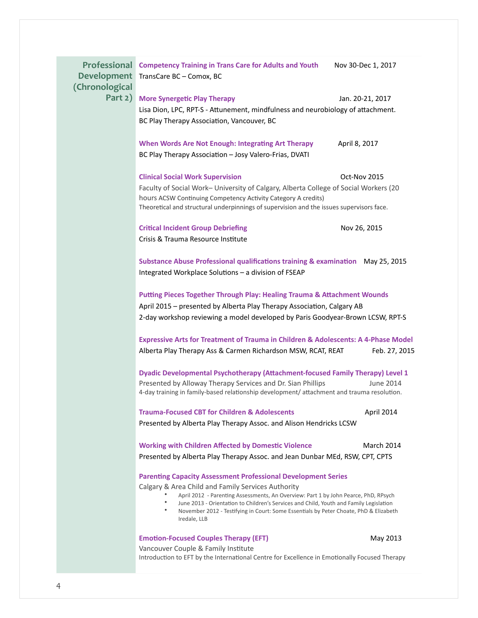| <b>Development</b><br>(Chronological | Professional Competency Training in Trans Care for Adults and Youth<br>TransCare BC - Comox, BC                                                                                                                                                                                                                  | Nov 30-Dec 1, 2017 |  |
|--------------------------------------|------------------------------------------------------------------------------------------------------------------------------------------------------------------------------------------------------------------------------------------------------------------------------------------------------------------|--------------------|--|
| Part 2)                              | <b>More Synergetic Play Therapy</b>                                                                                                                                                                                                                                                                              | Jan. 20-21, 2017   |  |
|                                      | Lisa Dion, LPC, RPT-S - Attunement, mindfulness and neurobiology of attachment.                                                                                                                                                                                                                                  |                    |  |
|                                      | BC Play Therapy Association, Vancouver, BC                                                                                                                                                                                                                                                                       |                    |  |
|                                      | When Words Are Not Enough: Integrating Art Therapy<br>BC Play Therapy Association - Josy Valero-Frias, DVATI                                                                                                                                                                                                     | April 8, 2017      |  |
|                                      | <b>Clinical Social Work Supervision</b>                                                                                                                                                                                                                                                                          | Oct-Nov 2015       |  |
|                                      | Faculty of Social Work- University of Calgary, Alberta College of Social Workers (20                                                                                                                                                                                                                             |                    |  |
|                                      | hours ACSW Continuing Competency Activity Category A credits)<br>Theoretical and structural underpinnings of supervision and the issues supervisors face.                                                                                                                                                        |                    |  |
|                                      | <b>Critical Incident Group Debriefing</b><br>Crisis & Trauma Resource Institute                                                                                                                                                                                                                                  | Nov 26, 2015       |  |
|                                      |                                                                                                                                                                                                                                                                                                                  |                    |  |
|                                      | Substance Abuse Professional qualifications training & examination May 25, 2015<br>Integrated Workplace Solutions - a division of FSEAP                                                                                                                                                                          |                    |  |
|                                      | <b>Putting Pieces Together Through Play: Healing Trauma &amp; Attachment Wounds</b><br>April 2015 – presented by Alberta Play Therapy Association, Calgary AB<br>2-day workshop reviewing a model developed by Paris Goodyear-Brown LCSW, RPT-S                                                                  |                    |  |
|                                      | Expressive Arts for Treatment of Trauma in Children & Adolescents: A 4-Phase Model<br>Alberta Play Therapy Ass & Carmen Richardson MSW, RCAT, REAT                                                                                                                                                               | Feb. 27, 2015      |  |
|                                      | Dyadic Developmental Psychotherapy (Attachment-focused Family Therapy) Level 1<br>Presented by Alloway Therapy Services and Dr. Sian Phillips<br>June 2014<br>4-day training in family-based relationship development/ attachment and trauma resolution.                                                         |                    |  |
|                                      | <b>Trauma-Focused CBT for Children &amp; Adolescents</b>                                                                                                                                                                                                                                                         | April 2014         |  |
|                                      | Presented by Alberta Play Therapy Assoc. and Alison Hendricks LCSW                                                                                                                                                                                                                                               |                    |  |
|                                      | <b>Working with Children Affected by Domestic Violence</b>                                                                                                                                                                                                                                                       | March 2014         |  |
|                                      | Presented by Alberta Play Therapy Assoc. and Jean Dunbar MEd, RSW, CPT, CPTS                                                                                                                                                                                                                                     |                    |  |
|                                      | <b>Parenting Capacity Assessment Professional Development Series</b>                                                                                                                                                                                                                                             |                    |  |
|                                      | Calgary & Area Child and Family Services Authority                                                                                                                                                                                                                                                               |                    |  |
|                                      | April 2012 - Parenting Assessments, An Overview: Part 1 by John Pearce, PhD, RPsych<br>$\bullet$<br>June 2013 - Orientation to Children's Services and Child, Youth and Family Legislation<br>$\bullet$<br>November 2012 - Testifying in Court: Some Essentials by Peter Choate, PhD & Elizabeth<br>Iredale, LLB |                    |  |
|                                      | <b>Emotion-Focused Couples Therapy (EFT)</b>                                                                                                                                                                                                                                                                     | May 2013           |  |
|                                      | Vancouver Couple & Family Institute                                                                                                                                                                                                                                                                              |                    |  |
|                                      | Introduction to EFT by the International Centre for Excellence in Emotionally Focused Therapy                                                                                                                                                                                                                    |                    |  |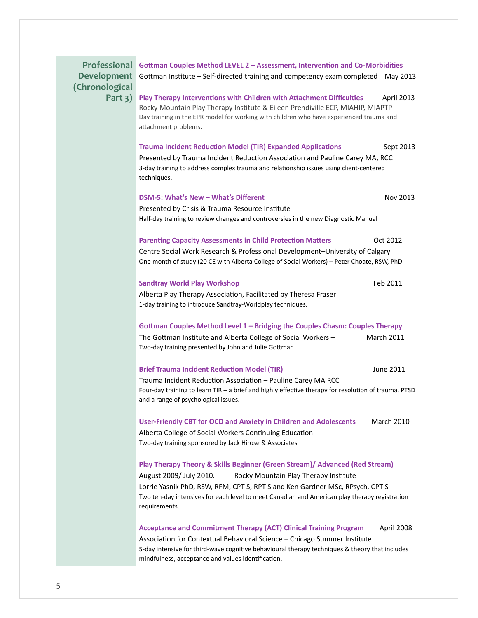Professional Gottman Couples Method LEVEL 2 - Assessment, Intervention and Co-Morbidities Development Gottman Institute - Self-directed training and competency exam completed May 2013 **(Chronological Part 3) Play Therapy Interventions with Children with Attachment Difficulties** April 2013 Rocky Mountain Play Therapy Institute & Eileen Prendiville ECP, MIAHIP, MIAPTP Day training in the EPR model for working with children who have experienced trauma and attachment problems. **Trauma Incident Reduction Model (TIR) Expanded Applications** Sept 2013 Presented by Trauma Incident Reduction Association and Pauline Carey MA, RCC 3-day training to address complex trauma and relationship issues using client-centered techniques. **DSM-5: What's New – What's Different** Nov 2013 Presented by Crisis & Trauma Resource Institute Half-day training to review changes and controversies in the new Diagnostic Manual **Parenting Capacity Assessments in Child Protection Matters** Oct 2012 Centre Social Work Research & Professional Development-University of Calgary One month of study (20 CE with Alberta College of Social Workers) - Peter Choate, RSW, PhD **Sandtray World Play Workshop** Feb 2011 Alberta Play Therapy Association, Facilitated by Theresa Fraser 1-day training to introduce Sandtray-Worldplay techniques. Gottman Couples Method Level 1 - Bridging the Couples Chasm: Couples Therapy The Gottman Institute and Alberta College of Social Workers – March 2011 Two-day training presented by John and Julie Gottman **Brief Trauma Incident Reduction Model (TIR) Discussed State State State State State 3011** Trauma Incident Reduction Association – Pauline Carey MA RCC Four-day training to learn TIR - a brief and highly effective therapy for resolution of trauma, PTSD and a range of psychological issues. **User-Friendly CBT for OCD and Anxiety in Children and Adolescents** March 2010 Alberta College of Social Workers Continuing Education Two-day training sponsored by Jack Hirose & Associates **Play Therapy Theory & Skills Beginner (Green Stream)/ Advanced (Red Stream)** August 2009/ July 2010. Rocky Mountain Play Therapy Institute Lorrie Yasnik PhD, RSW, RFM, CPT-S, RPT-S and Ken Gardner MSc, RPsych, CPT-S Two ten-day intensives for each level to meet Canadian and American play therapy registration requirements. **Acceptance and Commitment Therapy (ACT) Clinical Training Program April 2008** Association for Contextual Behavioral Science – Chicago Summer Institute 5-day intensive for third-wave cognitive behavioural therapy techniques & theory that includes

mindfulness, acceptance and values identification.